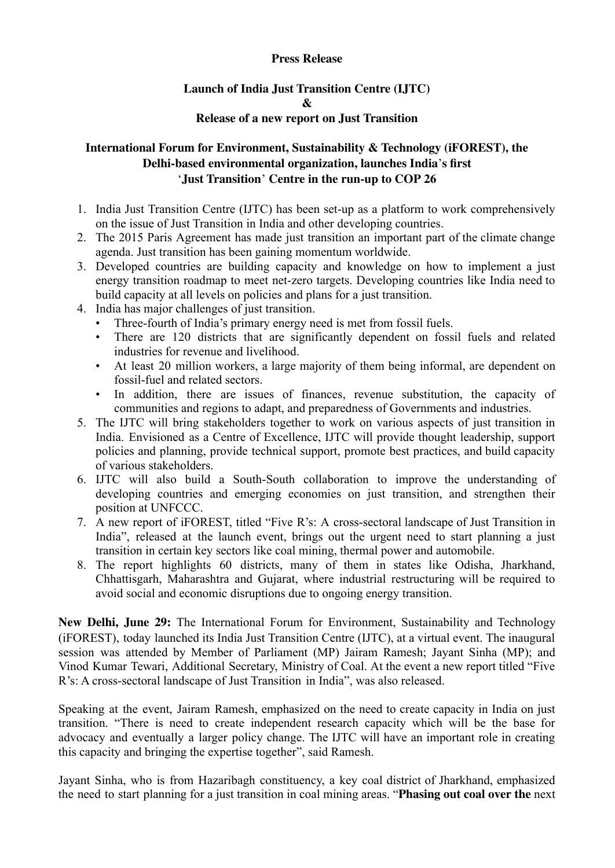#### **Press Release**

# **Launch of India Just Transition Centre (IJTC) & Release of a new report on Just Transition**

# **International Forum for Environment, Sustainability & Technology (iFOREST), the Delhi-based environmental organization, launches India**'**s first** '**Just Transition**' **Centre in the run-up to COP 26**

- 1. India Just Transition Centre (IJTC) has been set-up as a platform to work comprehensively on the issue of Just Transition in India and other developing countries.
- 2. The 2015 Paris Agreement has made just transition an important part of the climate change agenda. Just transition has been gaining momentum worldwide.
- 3. Developed countries are building capacity and knowledge on how to implement a just energy transition roadmap to meet net-zero targets. Developing countries like India need to build capacity at all levels on policies and plans for a just transition.
- 4. India has major challenges of just transition.
	- Three-fourth of India's primary energy need is met from fossil fuels.
	- There are 120 districts that are significantly dependent on fossil fuels and related industries for revenue and livelihood.
	- At least 20 million workers, a large majority of them being informal, are dependent on fossil-fuel and related sectors.
	- In addition, there are issues of finances, revenue substitution, the capacity of communities and regions to adapt, and preparedness of Governments and industries.
- 5. The IJTC will bring stakeholders together to work on various aspects of just transition in India. Envisioned as a Centre of Excellence, IJTC will provide thought leadership, support policies and planning, provide technical support, promote best practices, and build capacity of various stakeholders.
- 6. IJTC will also build a South-South collaboration to improve the understanding of developing countries and emerging economies on just transition, and strengthen their position at UNFCCC.
- 7. A new report of iFOREST, titled "Five R's: A cross-sectoral landscape of Just Transition in India", released at the launch event, brings out the urgent need to start planning a just transition in certain key sectors like coal mining, thermal power and automobile.
- 8. The report highlights 60 districts, many of them in states like Odisha, Jharkhand, Chhattisgarh, Maharashtra and Gujarat, where industrial restructuring will be required to avoid social and economic disruptions due to ongoing energy transition.

**New Delhi, June 29:** The International Forum for Environment, Sustainability and Technology (iFOREST), today launched its India Just Transition Centre (IJTC), at a virtual event. The inaugural session was attended by Member of Parliament (MP) Jairam Ramesh; Jayant Sinha (MP); and Vinod Kumar Tewari, Additional Secretary, Ministry of Coal. At the event a new report titled "Five R's: A cross-sectoral landscape of Just Transition in India", was also released.

Speaking at the event, Jairam Ramesh, emphasized on the need to create capacity in India on just transition. "There is need to create independent research capacity which will be the base for advocacy and eventually a larger policy change. The IJTC will have an important role in creating this capacity and bringing the expertise together", said Ramesh.

Jayant Sinha, who is from Hazaribagh constituency, a key coal district of Jharkhand, emphasized the need to start planning for a just transition in coal mining areas. "**Phasing out coal over the** next